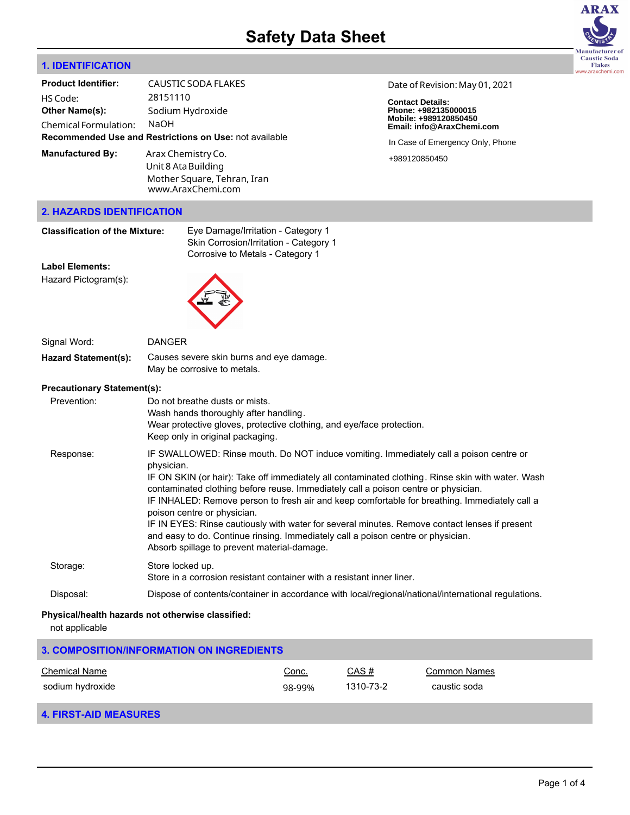

# **1. IDENTIFICATION**

| <b>Product Identifier:</b>                                    | CAUSTIC SODA FLAKES         |  |  |  |
|---------------------------------------------------------------|-----------------------------|--|--|--|
| HS Code:                                                      | 28151110                    |  |  |  |
| <b>Other Name(s):</b>                                         | Sodium Hydroxide            |  |  |  |
| <b>Chemical Formulation:</b>                                  | NaOH                        |  |  |  |
| <b>Recommended Use and Restrictions on Use: not available</b> |                             |  |  |  |
| <b>Manufactured By:</b>                                       | Arax Chemistry Co.          |  |  |  |
|                                                               | Unit 8 Ata Building         |  |  |  |
|                                                               | Mother Square, Tehran, Iran |  |  |  |

www.AraxChemi.com

Date of Revision: May 01, 2021

**Contact Details: Phone: +982135000015 Mobile: +989120850450 Email: info@AraxChemi.com**

In Case of Emergency Only, Phone

+989120850450

#### **2. HAZARDS IDENTIFICATION**

| <b>Classification of the Mixture:</b>          | Eye Damage/Irritation - Category 1<br>Skin Corrosion/Irritation - Category 1<br>Corrosive to Metals - Category 1                                                                                          |
|------------------------------------------------|-----------------------------------------------------------------------------------------------------------------------------------------------------------------------------------------------------------|
| <b>Label Elements:</b><br>Hazard Pictogram(s): |                                                                                                                                                                                                           |
| Signal Word:                                   | <b>DANGER</b>                                                                                                                                                                                             |
| <b>Hazard Statement(s):</b>                    | Causes severe skin burns and eye damage.<br>May be corrosive to metals.                                                                                                                                   |
| <b>Precautionary Statement(s):</b>             |                                                                                                                                                                                                           |
| Prevention:                                    | Do not breathe dusts or mists.<br>Wash hands thoroughly after handling.<br>Wear protective gloves, protective clothing, and eye/face protection.<br>Keep only in original packaging.                      |
| Response:                                      | IF SWALLOWED: Rinse mouth. Do NOT induce vomiting. Immediately call a poison centre or<br>physician.<br>IF ON SKIN (or hair): Take off immediately all contaminated clothing. Rinse skin with water. Wash |

contaminated clothing before reuse. Immediately call a poison centre or physician. IF INHALED: Remove person to fresh air and keep comfortable for breathing. Immediately call a poison centre or physician.

IF IN EYES: Rinse cautiously with water for several minutes. Remove contact lenses if present and easy to do. Continue rinsing. Immediately call a poison centre or physician. Absorb spillage to prevent material-damage.

# Storage: Store locked up. Store in a corrosion resistant container with a resistant inner liner. Disposal: Dispose of contents/container in accordance with local/regional/national/international regulations.

### **Physical/health hazards not otherwise classified:**

not applicable

| 3. COMPOSITION/INFORMATION ON INGREDIENTS |        |           |              |  |  |  |
|-------------------------------------------|--------|-----------|--------------|--|--|--|
| <b>Chemical Name</b>                      | Conc.  | CAS#      | Common Names |  |  |  |
| sodium hydroxide                          | 98-99% | 1310-73-2 | caustic soda |  |  |  |

# **4. FIRST-AID MEASURES**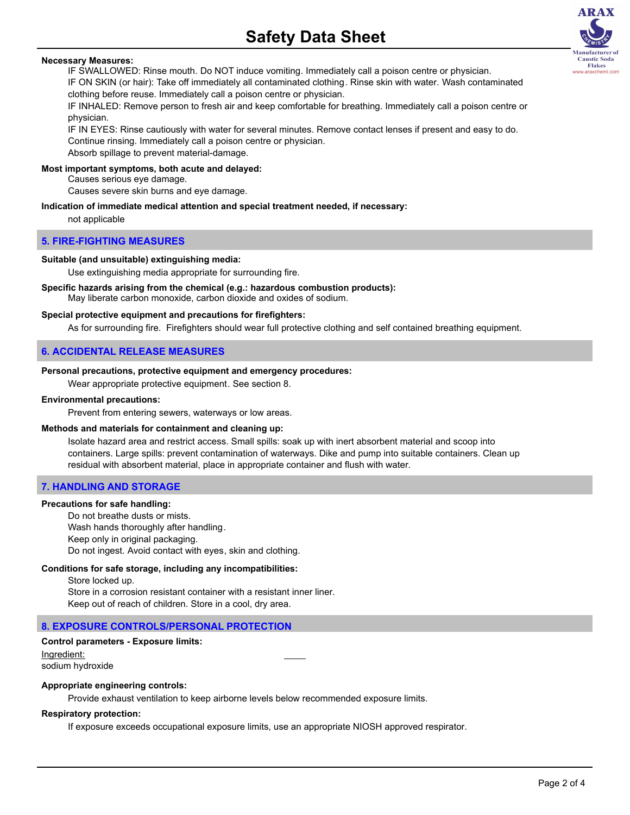# **Necessary Measures:**

IF SWALLOWED: Rinse mouth. Do NOT induce vomiting. Immediately call a poison centre or physician. IF ON SKIN (or hair): Take off immediately all contaminated clothing. Rinse skin with water. Wash contaminated clothing before reuse. Immediately call a poison centre or physician.

IF INHALED: Remove person to fresh air and keep comfortable for breathing. Immediately call a poison centre or physician.

IF IN EYES: Rinse cautiously with water for several minutes. Remove contact lenses if present and easy to do. Continue rinsing. Immediately call a poison centre or physician.

Absorb spillage to prevent material-damage.

#### **Most important symptoms, both acute and delayed:**

Causes serious eye damage.

Causes severe skin burns and eye damage.

#### **Indication of immediate medical attention and special treatment needed, if necessary:**

not applicable

#### **5. FIRE-FIGHTING MEASURES**

#### **Suitable (and unsuitable) extinguishing media:**

Use extinguishing media appropriate for surrounding fire.

# **Specific hazards arising from the chemical (e.g.: hazardous combustion products):**

May liberate carbon monoxide, carbon dioxide and oxides of sodium.

#### **Special protective equipment and precautions for firefighters:**

As for surrounding fire. Firefighters should wear full protective clothing and self contained breathing equipment.

### **6. ACCIDENTAL RELEASE MEASURES**

#### **Personal precautions, protective equipment and emergency procedures:**

Wear appropriate protective equipment. See section 8.

#### **Environmental precautions:**

Prevent from entering sewers, waterways or low areas.

### **Methods and materials for containment and cleaning up:**

Isolate hazard area and restrict access. Small spills: soak up with inert absorbent material and scoop into containers. Large spills: prevent contamination of waterways. Dike and pump into suitable containers. Clean up residual with absorbent material, place in appropriate container and flush with water.

# **7. HANDLING AND STORAGE**

### **Precautions for safe handling:**

Do not breathe dusts or mists. Wash hands thoroughly after handling. Keep only in original packaging. Do not ingest. Avoid contact with eyes, skin and clothing.

#### **Conditions for safe storage, including any incompatibilities:**

Store locked up. Store in a corrosion resistant container with a resistant inner liner. Keep out of reach of children. Store in a cool, dry area.

#### **8. EXPOSURE CONTROLS/PERSONAL PROTECTION**

# **Control parameters - Exposure limits:** Ingredient:

sodium hydroxide

#### **Appropriate engineering controls:**

Provide exhaust ventilation to keep airborne levels below recommended exposure limits.

#### **Respiratory protection:**

If exposure exceeds occupational exposure limits, use an appropriate NIOSH approved respirator.

**ARAX** 

**Lanufacturer** of Caustic Soda **Flakes** www.araxchemi.com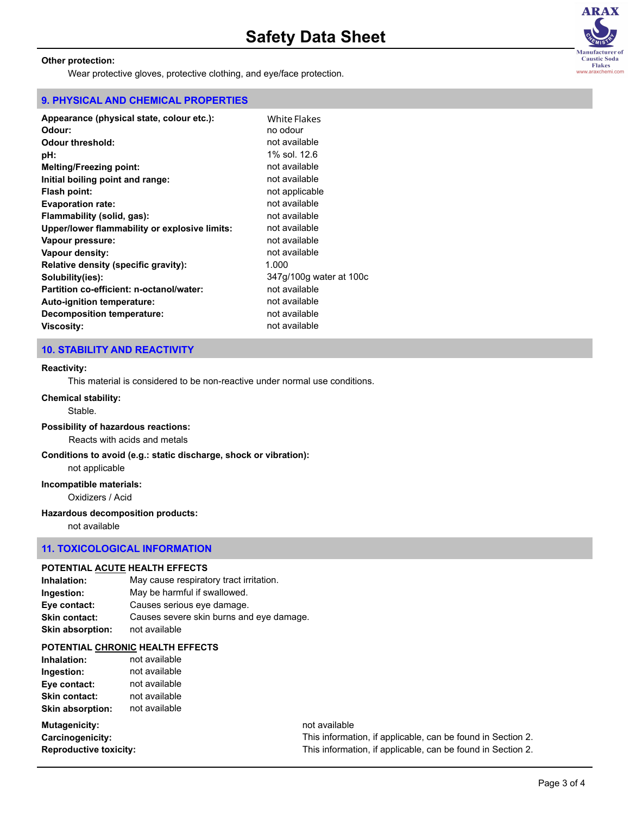# **Other protection:**

Wear protective gloves, protective clothing, and eye/face protection.

# **9. PHYSICAL AND CHEMICAL PROPERTIES**

| White Flakes            |
|-------------------------|
| no odour                |
| not available           |
| 1% sol. 12.6            |
| not available           |
| not available           |
| not applicable          |
| not available           |
| not available           |
| not available           |
| not available           |
| not available           |
| 1.000                   |
| 347q/100q water at 100c |
| not available           |
| not available           |
| not available           |
| not available           |
|                         |

# **10. STABILITY AND REACTIVITY**

#### **Reactivity:**

This material is considered to be non-reactive under normal use conditions.

#### **Chemical stability:**

Stable.

### **Possibility of hazardous reactions:**

Reacts with acids and metals

**Conditions to avoid (e.g.: static discharge, shock or vibration):**

not applicable

# **Incompatible materials:**

Oxidizers / Acid

### **Hazardous decomposition products:**

not available

### **11. TOXICOLOGICAL INFORMATION**

### **POTENTIAL ACUTE HEALTH EFFECTS**

**Inhalation:** May cause respiratory tract irritation. **Ingestion:** May be harmful if swallowed. **Eye contact:** Causes serious eye damage. **Skin contact:** Causes severe skin burns and eye damage. **Skin absorption:** not available

### **POTENTIAL CHRONIC HEALTH EFFECTS**

| Inhalation:             | not available |
|-------------------------|---------------|
| Ingestion:              | not available |
| Eye contact:            | not available |
| <b>Skin contact:</b>    | not available |
| <b>Skin absorption:</b> | not available |

# **Mutagenicity: not** available

**Carcinogenicity:** This information, if applicable, can be found in Section 2. **Reproductive toxicity:** This information, if applicable, can be found in Section 2.